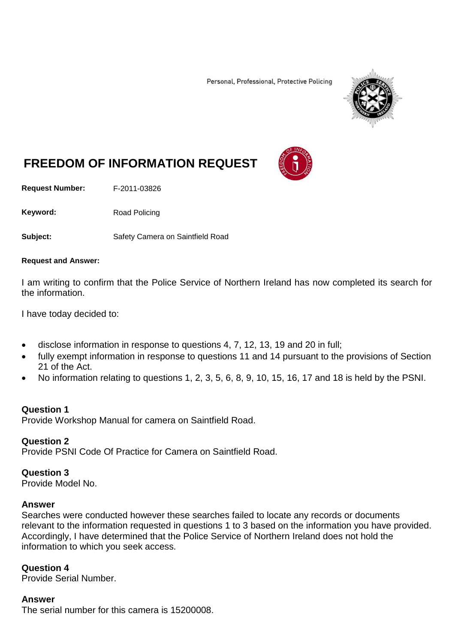Personal, Professional, Protective Policing



# **FREEDOM OF INFORMATION REQUEST**

**Request Number:** F-2011-03826

Keyword: Road Policing

**Subject:** Safety Camera on Saintfield Road

#### **Request and Answer:**

I am writing to confirm that the Police Service of Northern Ireland has now completed its search for the information.

I have today decided to:

- disclose information in response to questions 4, 7, 12, 13, 19 and 20 in full;
- fully exempt information in response to questions 11 and 14 pursuant to the provisions of Section 21 of the Act.
- No information relating to questions 1, 2, 3, 5, 6, 8, 9, 10, 15, 16, 17 and 18 is held by the PSNI.

## **Question 1**

Provide Workshop Manual for camera on Saintfield Road.

## **Question 2**

Provide PSNI Code Of Practice for Camera on Saintfield Road.

## **Question 3**

Provide Model No.

#### **Answer**

Searches were conducted however these searches failed to locate any records or documents relevant to the information requested in questions 1 to 3 based on the information you have provided. Accordingly, I have determined that the Police Service of Northern Ireland does not hold the information to which you seek access.

#### **Question 4**

Provide Serial Number.

## **Answer**

The serial number for this camera is 15200008.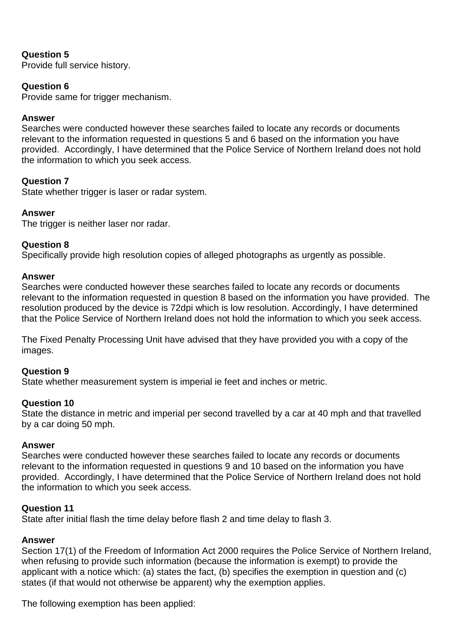# **Question 5**

Provide full service history.

# **Question 6**

Provide same for trigger mechanism.

## **Answer**

Searches were conducted however these searches failed to locate any records or documents relevant to the information requested in questions 5 and 6 based on the information you have provided. Accordingly, I have determined that the Police Service of Northern Ireland does not hold the information to which you seek access.

# **Question 7**

State whether trigger is laser or radar system.

## **Answer**

The trigger is neither laser nor radar.

## **Question 8**

Specifically provide high resolution copies of alleged photographs as urgently as possible.

#### **Answer**

Searches were conducted however these searches failed to locate any records or documents relevant to the information requested in question 8 based on the information you have provided. The resolution produced by the device is 72dpi which is low resolution. Accordingly, I have determined that the Police Service of Northern Ireland does not hold the information to which you seek access.

The Fixed Penalty Processing Unit have advised that they have provided you with a copy of the images.

## **Question 9**

State whether measurement system is imperial ie feet and inches or metric.

## **Question 10**

State the distance in metric and imperial per second travelled by a car at 40 mph and that travelled by a car doing 50 mph.

#### **Answer**

Searches were conducted however these searches failed to locate any records or documents relevant to the information requested in questions 9 and 10 based on the information you have provided. Accordingly, I have determined that the Police Service of Northern Ireland does not hold the information to which you seek access.

## **Question 11**

State after initial flash the time delay before flash 2 and time delay to flash 3.

#### **Answer**

Section 17(1) of the Freedom of Information Act 2000 requires the Police Service of Northern Ireland, when refusing to provide such information (because the information is exempt) to provide the applicant with a notice which: (a) states the fact, (b) specifies the exemption in question and (c) states (if that would not otherwise be apparent) why the exemption applies.

The following exemption has been applied: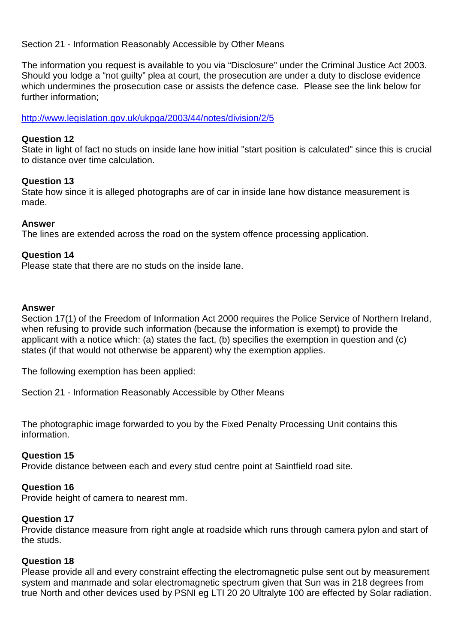Section 21 - Information Reasonably Accessible by Other Means

The information you request is available to you via "Disclosure" under the Criminal Justice Act 2003. Should you lodge a "not guilty" plea at court, the prosecution are under a duty to disclose evidence which undermines the prosecution case or assists the defence case. Please see the link below for further information;

<http://www.legislation.gov.uk/ukpga/2003/44/notes/division/2/5>

## **Question 12**

State in light of fact no studs on inside lane how initial "start position is calculated" since this is crucial to distance over time calculation.

## **Question 13**

State how since it is alleged photographs are of car in inside lane how distance measurement is made.

## **Answer**

The lines are extended across the road on the system offence processing application.

## **Question 14**

Please state that there are no studs on the inside lane.

#### **Answer**

Section 17(1) of the Freedom of Information Act 2000 requires the Police Service of Northern Ireland, when refusing to provide such information (because the information is exempt) to provide the applicant with a notice which: (a) states the fact, (b) specifies the exemption in question and (c) states (if that would not otherwise be apparent) why the exemption applies.

The following exemption has been applied:

Section 21 - Information Reasonably Accessible by Other Means

The photographic image forwarded to you by the Fixed Penalty Processing Unit contains this information.

## **Question 15**

Provide distance between each and every stud centre point at Saintfield road site.

## **Question 16**

Provide height of camera to nearest mm.

#### **Question 17**

Provide distance measure from right angle at roadside which runs through camera pylon and start of the studs.

#### **Question 18**

Please provide all and every constraint effecting the electromagnetic pulse sent out by measurement system and manmade and solar electromagnetic spectrum given that Sun was in 218 degrees from true North and other devices used by PSNI eg LTI 20 20 Ultralyte 100 are effected by Solar radiation.